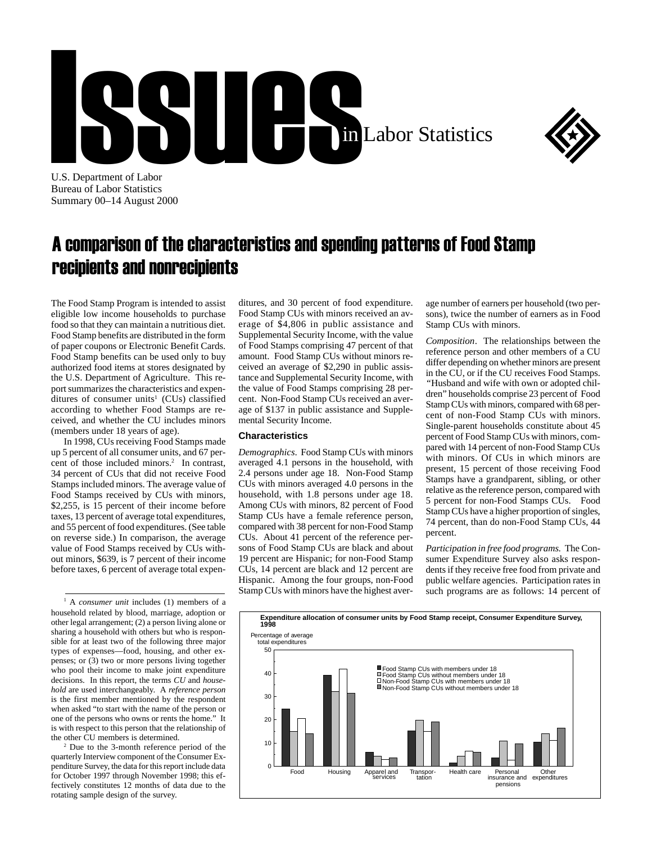



U.S. Department of Labor Bureau of Labor Statistics Summary 00–14 August 2000

## A comparison of the characteristics and spending patterns of Food Stamp recipients and nonrecipients

The Food Stamp Program is intended to assist eligible low income households to purchase food so that they can maintain a nutritious diet. Food Stamp benefits are distributed in the form of paper coupons or Electronic Benefit Cards. Food Stamp benefits can be used only to buy authorized food items at stores designated by the U.S. Department of Agriculture. This report summarizes the characteristics and expenditures of consumer units<sup>1</sup> (CUs) classified according to whether Food Stamps are received, and whether the CU includes minors (members under 18 years of age).

In 1998, CUs receiving Food Stamps made up 5 percent of all consumer units, and 67 percent of those included minors.<sup>2</sup> In contrast, 34 percent of CUs that did not receive Food Stamps included minors. The average value of Food Stamps received by CUs with minors, \$2,255, is 15 percent of their income before taxes, 13 percent of average total expenditures, and 55 percent of food expenditures. (See table on reverse side.) In comparison, the average value of Food Stamps received by CUs without minors, \$639, is 7 percent of their income before taxes, 6 percent of average total expen-

1 A *consumer unit* includes (1) members of a household related by blood, marriage, adoption or other legal arrangement; (2) a person living alone or sharing a household with others but who is responsible for at least two of the following three major types of expenses—food, housing, and other expenses; or  $(3)$  two or more persons living together who pool their income to make joint expenditure decisions. In this report, the terms *CU* and *household* are used interchangeably. A *reference person* is the first member mentioned by the respondent when asked "to start with the name of the person or one of the persons who owns or rents the home." It is with respect to this person that the relationship of the other CU members is determined.

2 Due to the 3-month reference period of the quarterly Interview component of the Consumer Expenditure Survey, the data for this report include data for October 1997 through November 1998; this effectively constitutes 12 months of data due to the rotating sample design of the survey.

ditures, and 30 percent of food expenditure. Food Stamp CUs with minors received an average of \$4,806 in public assistance and Supplemental Security Income, with the value of Food Stamps comprising 47 percent of that amount. Food Stamp CUs without minors received an average of \$2,290 in public assistance and Supplemental Security Income, with the value of Food Stamps comprising 28 percent. Non-Food Stamp CUs received an average of \$137 in public assistance and Supplemental Security Income.

## **Characteristics**

*Demographics*. Food Stamp CUs with minors averaged 4.1 persons in the household, with 2.4 persons under age 18. Non-Food Stamp CUs with minors averaged 4.0 persons in the household, with 1.8 persons under age 18. Among CUs with minors, 82 percent of Food Stamp CUs have a female reference person, compared with 38 percent for non-Food Stamp CUs. About 41 percent of the reference persons of Food Stamp CUs are black and about 19 percent are Hispanic; for non-Food Stamp CUs, 14 percent are black and 12 percent are Hispanic. Among the four groups, non-Food Stamp CUs with minors have the highest average number of earners per household (two persons), twice the number of earners as in Food Stamp CUs with minors.

*Composition*. The relationships between the reference person and other members of a CU differ depending on whether minors are present in the CU, or if the CU receives Food Stamps. *"*Husband and wife with own or adopted children" households comprise 23 percent of Food Stamp CUs with minors, compared with 68 percent of non-Food Stamp CUs with minors. Single-parent households constitute about 45 percent of Food Stamp CUs with minors, compared with 14 percent of non-Food Stamp CUs with minors. Of CUs in which minors are present, 15 percent of those receiving Food Stamps have a grandparent, sibling, or other relative as the reference person, compared with 5 percent for non-Food Stamps CUs. Food Stamp CUs have a higher proportion of singles, 74 percent, than do non-Food Stamp CUs, 44 percent.

*Participation in free food programs.* The Consumer Expenditure Survey also asks respondents if they receive free food from private and public welfare agencies. Participation rates in such programs are as follows: 14 percent of